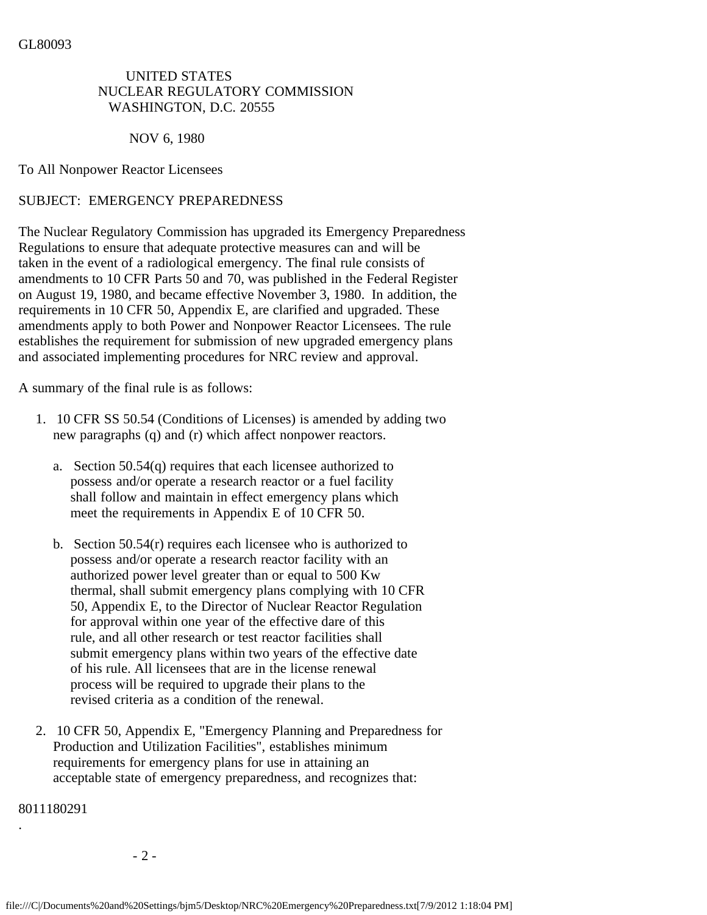## UNITED STATES NUCLEAR REGULATORY COMMISSION WASHINGTON, D.C. 20555

NOV 6, 1980

To All Nonpower Reactor Licensees

## SUBJECT: EMERGENCY PREPAREDNESS

The Nuclear Regulatory Commission has upgraded its Emergency Preparedness Regulations to ensure that adequate protective measures can and will be taken in the event of a radiological emergency. The final rule consists of amendments to 10 CFR Parts 50 and 70, was published in the Federal Register on August 19, 1980, and became effective November 3, 1980. In addition, the requirements in 10 CFR 50, Appendix E, are clarified and upgraded. These amendments apply to both Power and Nonpower Reactor Licensees. The rule establishes the requirement for submission of new upgraded emergency plans and associated implementing procedures for NRC review and approval.

A summary of the final rule is as follows:

- 1. 10 CFR SS 50.54 (Conditions of Licenses) is amended by adding two new paragraphs (q) and (r) which affect nonpower reactors.
	- a. Section 50.54(q) requires that each licensee authorized to possess and/or operate a research reactor or a fuel facility shall follow and maintain in effect emergency plans which meet the requirements in Appendix E of 10 CFR 50.
	- b. Section 50.54(r) requires each licensee who is authorized to possess and/or operate a research reactor facility with an authorized power level greater than or equal to 500 Kw thermal, shall submit emergency plans complying with 10 CFR 50, Appendix E, to the Director of Nuclear Reactor Regulation for approval within one year of the effective dare of this rule, and all other research or test reactor facilities shall submit emergency plans within two years of the effective date of his rule. All licensees that are in the license renewal process will be required to upgrade their plans to the revised criteria as a condition of the renewal.
- 2. 10 CFR 50, Appendix E, "Emergency Planning and Preparedness for Production and Utilization Facilities", establishes minimum requirements for emergency plans for use in attaining an acceptable state of emergency preparedness, and recognizes that:

8011180291

.

- 2 -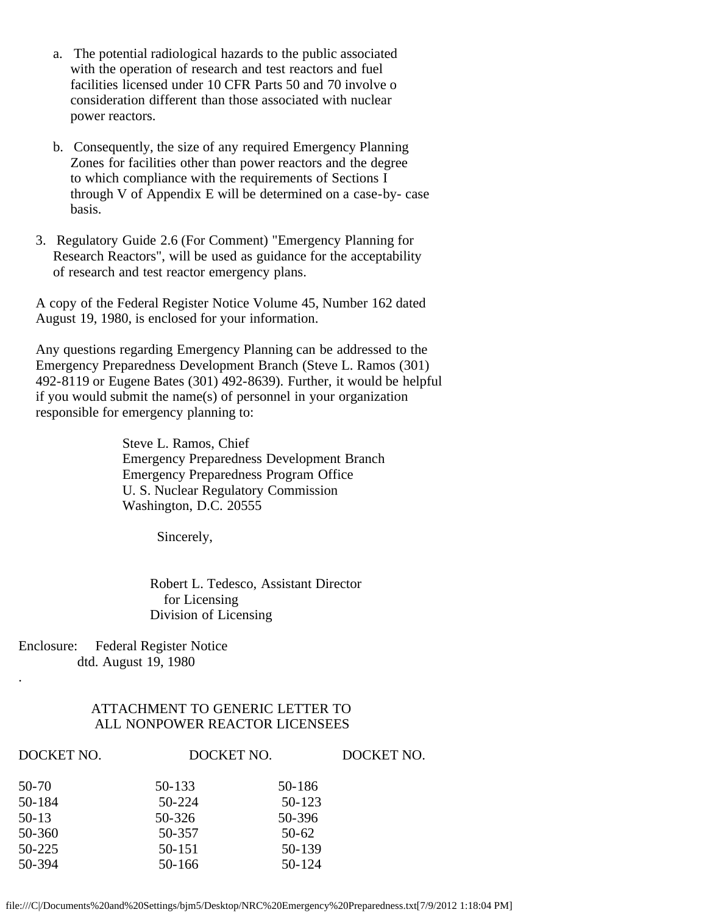- a. The potential radiological hazards to the public associated with the operation of research and test reactors and fuel facilities licensed under 10 CFR Parts 50 and 70 involve o consideration different than those associated with nuclear power reactors.
- b. Consequently, the size of any required Emergency Planning Zones for facilities other than power reactors and the degree to which compliance with the requirements of Sections I through V of Appendix E will be determined on a case-by- case basis.
- 3. Regulatory Guide 2.6 (For Comment) "Emergency Planning for Research Reactors", will be used as guidance for the acceptability of research and test reactor emergency plans.

 A copy of the Federal Register Notice Volume 45, Number 162 dated August 19, 1980, is enclosed for your information.

 Any questions regarding Emergency Planning can be addressed to the Emergency Preparedness Development Branch (Steve L. Ramos (301) 492-8119 or Eugene Bates (301) 492-8639). Further, it would be helpful if you would submit the name(s) of personnel in your organization responsible for emergency planning to:

> Steve L. Ramos, Chief Emergency Preparedness Development Branch Emergency Preparedness Program Office U. S. Nuclear Regulatory Commission Washington, D.C. 20555

> > Sincerely,

 Robert L. Tedesco, Assistant Director for Licensing Division of Licensing

Enclosure: Federal Register Notice dtd. August 19, 1980

.

## ATTACHMENT TO GENERIC LETTER TO ALL NONPOWER REACTOR LICENSEES

| DOCKET NO. | DOCKET NO. |         | DOCKET NO. |
|------------|------------|---------|------------|
| 50-70      | 50-133     | 50-186  |            |
| 50-184     | 50-224     | 50-123  |            |
| $50-13$    | 50-326     | 50-396  |            |
| 50-360     | 50-357     | $50-62$ |            |
| 50-225     | 50-151     | 50-139  |            |
| 50-394     | 50-166     | 50-124  |            |
|            |            |         |            |

file:///C|/Documents%20and%20Settings/bjm5/Desktop/NRC%20Emergency%20Preparedness.txt[7/9/2012 1:18:04 PM]